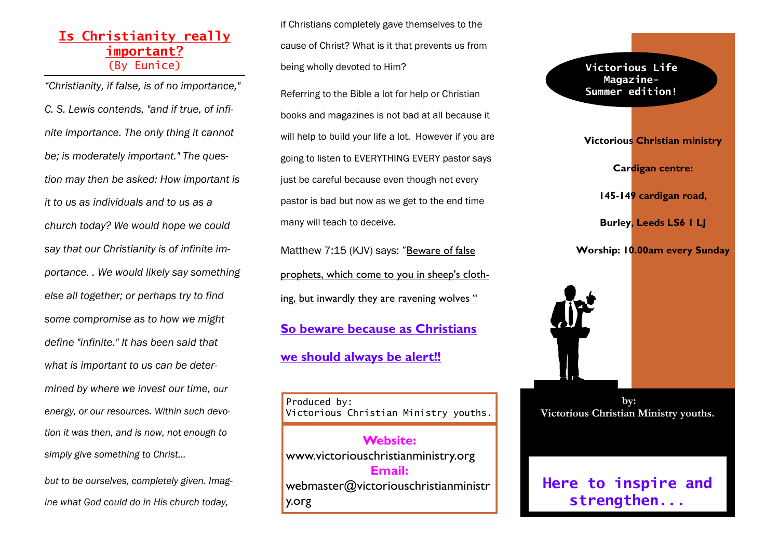# **Is Christianity really important?** (By Eunice)

*"Christianity, if false, is of no importance," C. S. Lewis contends, "and if true, of infinite importance. The only thing it cannot be; is moderately important." The question may then be asked: How important is it to us as individuals and to us as a church today? We would hope we could say that our Christianity is of infinite importance. . We would likely say something else all together; or perhaps try to find some compromise as to how we might define "infinite." It has been said that what is important to us can be determined by where we invest our time, our energy, or our resources. Within such devotion it was then, and is now, not enough to simply give something to Christ...* 

*but to be ourselves, completely given. Imagine what God could do in His church today,*

if Christians completely gave themselves to the cause of Christ? What is it that prevents us from being wholly devoted to Him?

Referring to the Bible a lot for help or Christian books and magazines is not bad at all because it will help to build your life a lot. However if you are going to listen to EVERYTHING EVERY pastor says just be careful because even though not every pastor is bad but now as we get to the end time many will teach to deceive.

Matthew 7:15 (KJV) says: "Beware of false prophets, which come to you in sheep's clothing, but inwardly they are ravening wolves " **So beware because as Christians we should always be alert!!**

Produced by: Victorious Christian Ministry youths.

**Website:** www.victoriouschristianministry.org **Email:** webmaster@victoriouschristianministr y.org

**Magazine-Summer edition! Victorious Christian ministry Cardigan centre: 145-149 cardigan road, Burley, Leeds LS6 1 LJ** 

**Victorious Life** 

**Worship: 10.00am every Sunday** 



 **by: Victorious Christian Ministry youths.** 

**Here to inspire and strengthen...**